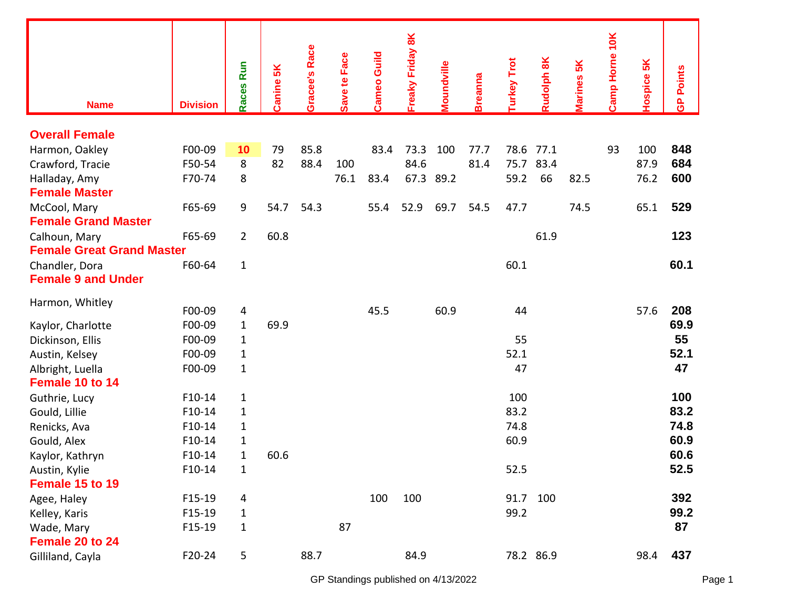| <b>Name</b>                      | <b>Division</b> | <b>Run</b><br>Races | Canine 5K | <b>Gracee's Race</b> | Save te Face | <b>Cameo Guild</b> | Freaky Friday 8K | <b><i><u>noundville</u></i></b> | <b>Breanna</b> | <b>Turkey Trot</b> | <b>Rudolph 8K</b> | larines 5K | Camp Horne 10K | 5K<br><b>lospice</b> | <b>GP Points</b> |
|----------------------------------|-----------------|---------------------|-----------|----------------------|--------------|--------------------|------------------|---------------------------------|----------------|--------------------|-------------------|------------|----------------|----------------------|------------------|
| <b>Overall Female</b>            |                 |                     |           |                      |              |                    |                  |                                 |                |                    |                   |            |                |                      |                  |
| Harmon, Oakley                   | F00-09          | 10                  | 79        | 85.8                 |              | 83.4               | 73.3             | 100                             | 77.7           | 78.6               | 77.1              |            | 93             | 100                  | 848              |
| Crawford, Tracie                 | F50-54          | 8                   | 82        | 88.4                 | 100          |                    | 84.6             |                                 | 81.4           | 75.7               | 83.4              |            |                | 87.9                 | 684              |
| Halladay, Amy                    | F70-74          | 8                   |           |                      | 76.1         | 83.4               |                  | 67.3 89.2                       |                | 59.2               | 66                | 82.5       |                | 76.2                 | 600              |
| <b>Female Master</b>             |                 |                     |           |                      |              |                    |                  |                                 |                |                    |                   |            |                |                      |                  |
| McCool, Mary                     | F65-69          | 9                   | 54.7      | 54.3                 |              | 55.4               | 52.9             | 69.7                            | 54.5           | 47.7               |                   | 74.5       |                | 65.1                 | 529              |
| <b>Female Grand Master</b>       |                 |                     |           |                      |              |                    |                  |                                 |                |                    |                   |            |                |                      |                  |
| Calhoun, Mary                    | F65-69          | $\overline{2}$      | 60.8      |                      |              |                    |                  |                                 |                |                    | 61.9              |            |                |                      | 123              |
| <b>Female Great Grand Master</b> |                 |                     |           |                      |              |                    |                  |                                 |                |                    |                   |            |                |                      |                  |
| Chandler, Dora                   | F60-64          | $\mathbf{1}$        |           |                      |              |                    |                  |                                 |                | 60.1               |                   |            |                |                      | 60.1             |
| <b>Female 9 and Under</b>        |                 |                     |           |                      |              |                    |                  |                                 |                |                    |                   |            |                |                      |                  |
| Harmon, Whitley                  | F00-09          | 4                   |           |                      |              | 45.5               |                  | 60.9                            |                | 44                 |                   |            |                | 57.6                 | 208              |
| Kaylor, Charlotte                | F00-09          | $\mathbf{1}$        | 69.9      |                      |              |                    |                  |                                 |                |                    |                   |            |                |                      | 69.9             |
| Dickinson, Ellis                 | F00-09          | $\mathbf{1}$        |           |                      |              |                    |                  |                                 |                | 55                 |                   |            |                |                      | 55               |
| Austin, Kelsey                   | F00-09          | $\mathbf{1}$        |           |                      |              |                    |                  |                                 |                | 52.1               |                   |            |                |                      | 52.1             |
| Albright, Luella                 | F00-09          | $\mathbf{1}$        |           |                      |              |                    |                  |                                 |                | 47                 |                   |            |                |                      | 47               |
| Female 10 to 14                  |                 |                     |           |                      |              |                    |                  |                                 |                |                    |                   |            |                |                      |                  |
| Guthrie, Lucy                    | $F10-14$        | $\mathbf 1$         |           |                      |              |                    |                  |                                 |                | 100                |                   |            |                |                      | 100              |
| Gould, Lillie                    | F10-14          | $\mathbf{1}$        |           |                      |              |                    |                  |                                 |                | 83.2               |                   |            |                |                      | 83.2             |
| Renicks, Ava                     | F10-14          | $\mathbf{1}$        |           |                      |              |                    |                  |                                 |                | 74.8               |                   |            |                |                      | 74.8             |
| Gould, Alex                      | F10-14          | $\mathbf{1}$        |           |                      |              |                    |                  |                                 |                | 60.9               |                   |            |                |                      | 60.9             |
| Kaylor, Kathryn                  | $F10-14$        | $\mathbf 1$         | 60.6      |                      |              |                    |                  |                                 |                |                    |                   |            |                |                      | 60.6             |
| Austin, Kylie                    | $F10-14$        | $\mathbf 1$         |           |                      |              |                    |                  |                                 |                | 52.5               |                   |            |                |                      | 52.5             |
| Female 15 to 19                  |                 |                     |           |                      |              |                    |                  |                                 |                |                    |                   |            |                |                      |                  |
| Agee, Haley                      | F15-19          | 4                   |           |                      |              | 100                | 100              |                                 |                | 91.7               | 100               |            |                |                      | 392              |
| Kelley, Karis                    | F15-19          | 1                   |           |                      |              |                    |                  |                                 |                | 99.2               |                   |            |                |                      | 99.2             |
| Wade, Mary                       | F15-19          | $\mathbf{1}$        |           |                      | 87           |                    |                  |                                 |                |                    |                   |            |                |                      | 87               |
| Female 20 to 24                  |                 |                     |           |                      |              |                    |                  |                                 |                |                    |                   |            |                |                      |                  |
| Gilliland, Cayla                 | F20-24          | 5                   |           | 88.7                 |              |                    | 84.9             |                                 |                |                    | 78.2 86.9         |            |                | 98.4                 | 437              |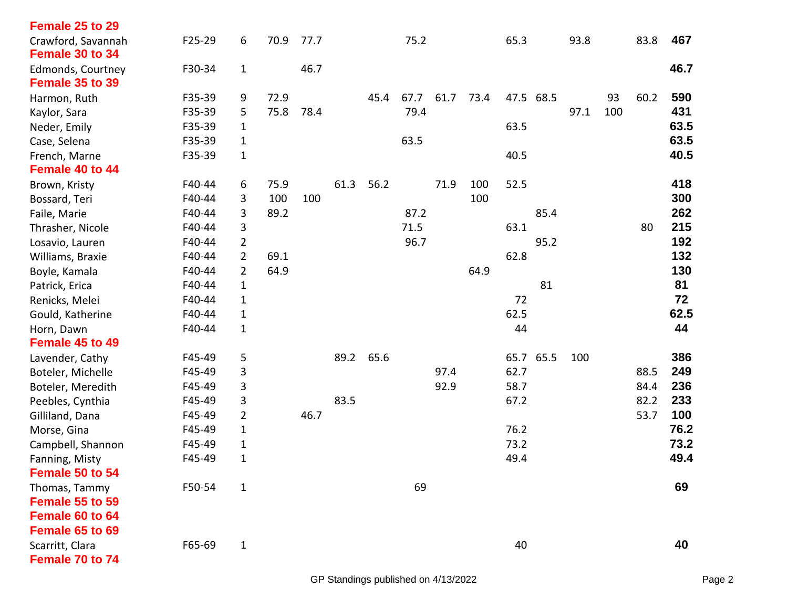| Female 25 to 29                       |        |                |      |      |      |           |      |      |      |      |           |      |     |      |      |
|---------------------------------------|--------|----------------|------|------|------|-----------|------|------|------|------|-----------|------|-----|------|------|
| Crawford, Savannah<br>Female 30 to 34 | F25-29 | 6              | 70.9 | 77.7 |      |           | 75.2 |      |      | 65.3 |           | 93.8 |     | 83.8 | 467  |
| Edmonds, Courtney<br>Female 35 to 39  | F30-34 | $\mathbf 1$    |      | 46.7 |      |           |      |      |      |      |           |      |     |      | 46.7 |
| Harmon, Ruth                          | F35-39 | 9              | 72.9 |      |      | 45.4      | 67.7 | 61.7 | 73.4 | 47.5 | 68.5      |      | 93  | 60.2 | 590  |
| Kaylor, Sara                          | F35-39 | 5              | 75.8 | 78.4 |      |           | 79.4 |      |      |      |           | 97.1 | 100 |      | 431  |
| Neder, Emily                          | F35-39 | $\mathbf{1}$   |      |      |      |           |      |      |      | 63.5 |           |      |     |      | 63.5 |
| Case, Selena                          | F35-39 | 1              |      |      |      |           | 63.5 |      |      |      |           |      |     |      | 63.5 |
| French, Marne                         | F35-39 | $\mathbf{1}$   |      |      |      |           |      |      |      | 40.5 |           |      |     |      | 40.5 |
| Female 40 to 44                       |        |                |      |      |      |           |      |      |      |      |           |      |     |      |      |
| Brown, Kristy                         | F40-44 | 6              | 75.9 |      | 61.3 | 56.2      |      | 71.9 | 100  | 52.5 |           |      |     |      | 418  |
| Bossard, Teri                         | F40-44 | 3              | 100  | 100  |      |           |      |      | 100  |      |           |      |     |      | 300  |
| Faile, Marie                          | F40-44 | 3              | 89.2 |      |      |           | 87.2 |      |      |      | 85.4      |      |     |      | 262  |
| Thrasher, Nicole                      | F40-44 | 3              |      |      |      |           | 71.5 |      |      | 63.1 |           |      |     | 80   | 215  |
| Losavio, Lauren                       | F40-44 | $\overline{2}$ |      |      |      |           | 96.7 |      |      |      | 95.2      |      |     |      | 192  |
| Williams, Braxie                      | F40-44 | $\overline{2}$ | 69.1 |      |      |           |      |      |      | 62.8 |           |      |     |      | 132  |
| Boyle, Kamala                         | F40-44 | $\overline{2}$ | 64.9 |      |      |           |      |      | 64.9 |      |           |      |     |      | 130  |
| Patrick, Erica                        | F40-44 | $\mathbf 1$    |      |      |      |           |      |      |      |      | 81        |      |     |      | 81   |
| Renicks, Melei                        | F40-44 | $\mathbf{1}$   |      |      |      |           |      |      |      | 72   |           |      |     |      | 72   |
| Gould, Katherine                      | F40-44 | 1              |      |      |      |           |      |      |      | 62.5 |           |      |     |      | 62.5 |
| Horn, Dawn                            | F40-44 | $\mathbf{1}$   |      |      |      |           |      |      |      | 44   |           |      |     |      | 44   |
| Female 45 to 49                       |        |                |      |      |      |           |      |      |      |      |           |      |     |      |      |
| Lavender, Cathy                       | F45-49 | 5              |      |      |      | 89.2 65.6 |      |      |      |      | 65.7 65.5 | 100  |     |      | 386  |
| Boteler, Michelle                     | F45-49 | 3              |      |      |      |           |      | 97.4 |      | 62.7 |           |      |     | 88.5 | 249  |
| Boteler, Meredith                     | F45-49 | 3              |      |      |      |           |      | 92.9 |      | 58.7 |           |      |     | 84.4 | 236  |
| Peebles, Cynthia                      | F45-49 | 3              |      |      | 83.5 |           |      |      |      | 67.2 |           |      |     | 82.2 | 233  |
| Gilliland, Dana                       | F45-49 | $\overline{2}$ |      | 46.7 |      |           |      |      |      |      |           |      |     | 53.7 | 100  |
| Morse, Gina                           | F45-49 | $\mathbf{1}$   |      |      |      |           |      |      |      | 76.2 |           |      |     |      | 76.2 |
| Campbell, Shannon                     | F45-49 | $\mathbf{1}$   |      |      |      |           |      |      |      | 73.2 |           |      |     |      | 73.2 |
| Fanning, Misty                        | F45-49 | $\mathbf 1$    |      |      |      |           |      |      |      | 49.4 |           |      |     |      | 49.4 |
| Female 50 to 54                       |        |                |      |      |      |           |      |      |      |      |           |      |     |      |      |
| Thomas, Tammy                         | F50-54 | $\mathbf 1$    |      |      |      |           | 69   |      |      |      |           |      |     |      | 69   |
| Female 55 to 59                       |        |                |      |      |      |           |      |      |      |      |           |      |     |      |      |
| Female 60 to 64                       |        |                |      |      |      |           |      |      |      |      |           |      |     |      |      |
| Female 65 to 69                       |        |                |      |      |      |           |      |      |      |      |           |      |     |      |      |
| Scarritt, Clara                       | F65-69 | $\mathbf 1$    |      |      |      |           |      |      |      | 40   |           |      |     |      | 40   |
| Female 70 to 74                       |        |                |      |      |      |           |      |      |      |      |           |      |     |      |      |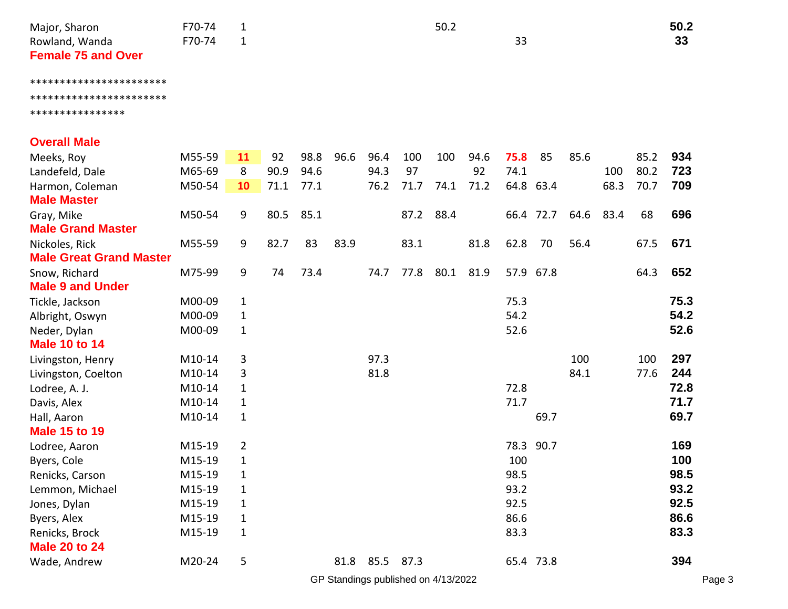| Major, Sharon             | F70-74 | 50.2 | 50.2 |
|---------------------------|--------|------|------|
| Rowland, Wanda            | F70-74 | 33   | 33   |
| <b>Female 75 and Over</b> |        |      |      |
|                           |        |      |      |

## \*\*\*\*\*\*\*\*\*\*\*\*\*\*\*\*\*\*\*\*\*\*\* \*\*\*\*\*\*\*\*\*\*\*\*\*\*\*\*\*\*\*\*\*\*\*

\*\*\*\*\*\*\*\*\*\*\*\*\*\*\*\*

## **Overall Male**

| Meeks, Roy                     | M55-59 | 11           | 92   | 98.8 | 96.6 | 96.4      | 100  | 100  | 94.6 | 75.8      | 85   | 85.6 |      | 85.2 | 934  |
|--------------------------------|--------|--------------|------|------|------|-----------|------|------|------|-----------|------|------|------|------|------|
| Landefeld, Dale                | M65-69 | 8            | 90.9 | 94.6 |      | 94.3      | 97   |      | 92   | 74.1      |      |      | 100  | 80.2 | 723  |
| Harmon, Coleman                | M50-54 | 10           | 71.1 | 77.1 |      | 76.2      | 71.7 | 74.1 | 71.2 | 64.8 63.4 |      |      | 68.3 | 70.7 | 709  |
| <b>Male Master</b>             |        |              |      |      |      |           |      |      |      |           |      |      |      |      |      |
| Gray, Mike                     | M50-54 | 9            | 80.5 | 85.1 |      |           | 87.2 | 88.4 |      | 66.4 72.7 |      | 64.6 | 83.4 | 68   | 696  |
| <b>Male Grand Master</b>       |        |              |      |      |      |           |      |      |      |           |      |      |      |      |      |
| Nickoles, Rick                 | M55-59 | 9            | 82.7 | 83   | 83.9 |           | 83.1 |      | 81.8 | 62.8      | 70   | 56.4 |      | 67.5 | 671  |
| <b>Male Great Grand Master</b> |        |              |      |      |      |           |      |      |      |           |      |      |      |      |      |
| Snow, Richard                  | M75-99 | 9            | 74   | 73.4 |      | 74.7      | 77.8 | 80.1 | 81.9 | 57.9 67.8 |      |      |      | 64.3 | 652  |
| <b>Male 9 and Under</b>        |        |              |      |      |      |           |      |      |      |           |      |      |      |      |      |
| Tickle, Jackson                | M00-09 | $\mathbf{1}$ |      |      |      |           |      |      |      | 75.3      |      |      |      |      | 75.3 |
| Albright, Oswyn                | M00-09 | $\mathbf{1}$ |      |      |      |           |      |      |      | 54.2      |      |      |      |      | 54.2 |
| Neder, Dylan                   | M00-09 | $\mathbf{1}$ |      |      |      |           |      |      |      | 52.6      |      |      |      |      | 52.6 |
| <b>Male 10 to 14</b>           |        |              |      |      |      |           |      |      |      |           |      |      |      |      |      |
| Livingston, Henry              | M10-14 | 3            |      |      |      | 97.3      |      |      |      |           |      | 100  |      | 100  | 297  |
| Livingston, Coelton            | M10-14 | 3            |      |      |      | 81.8      |      |      |      |           |      | 84.1 |      | 77.6 | 244  |
| Lodree, A. J.                  | M10-14 | $\mathbf{1}$ |      |      |      |           |      |      |      | 72.8      |      |      |      |      | 72.8 |
| Davis, Alex                    | M10-14 | $\mathbf{1}$ |      |      |      |           |      |      |      | 71.7      |      |      |      |      | 71.7 |
| Hall, Aaron                    | M10-14 | $\mathbf{1}$ |      |      |      |           |      |      |      |           | 69.7 |      |      |      | 69.7 |
| <b>Male 15 to 19</b>           |        |              |      |      |      |           |      |      |      |           |      |      |      |      |      |
| Lodree, Aaron                  | M15-19 | 2            |      |      |      |           |      |      |      | 78.3      | 90.7 |      |      |      | 169  |
| Byers, Cole                    | M15-19 | $\mathbf{1}$ |      |      |      |           |      |      |      | 100       |      |      |      |      | 100  |
| Renicks, Carson                | M15-19 | $\mathbf{1}$ |      |      |      |           |      |      |      | 98.5      |      |      |      |      | 98.5 |
| Lemmon, Michael                | M15-19 | $\mathbf{1}$ |      |      |      |           |      |      |      | 93.2      |      |      |      |      | 93.2 |
| Jones, Dylan                   | M15-19 | $\mathbf{1}$ |      |      |      |           |      |      |      | 92.5      |      |      |      |      | 92.5 |
| Byers, Alex                    | M15-19 | $\mathbf{1}$ |      |      |      |           |      |      |      | 86.6      |      |      |      |      | 86.6 |
| Renicks, Brock                 | M15-19 | $\mathbf{1}$ |      |      |      |           |      |      |      | 83.3      |      |      |      |      | 83.3 |
| <b>Male 20 to 24</b>           |        |              |      |      |      |           |      |      |      |           |      |      |      |      |      |
| Wade, Andrew                   | M20-24 | 5            |      |      |      | 81.8 85.5 | 87.3 |      |      | 65.4 73.8 |      |      |      |      | 394  |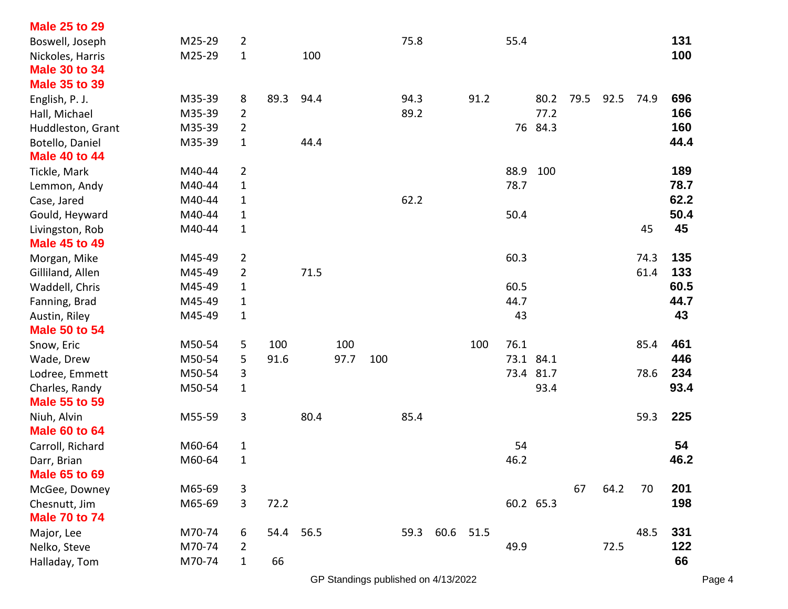| <b>Male 25 to 29</b> |        |                |      |      |      |     |      |      |      |           |           |      |      |      |      |
|----------------------|--------|----------------|------|------|------|-----|------|------|------|-----------|-----------|------|------|------|------|
| Boswell, Joseph      | M25-29 | $\overline{2}$ |      |      |      |     | 75.8 |      |      | 55.4      |           |      |      |      | 131  |
| Nickoles, Harris     | M25-29 | $\mathbf{1}$   |      | 100  |      |     |      |      |      |           |           |      |      |      | 100  |
| <b>Male 30 to 34</b> |        |                |      |      |      |     |      |      |      |           |           |      |      |      |      |
| <b>Male 35 to 39</b> |        |                |      |      |      |     |      |      |      |           |           |      |      |      |      |
| English, P. J.       | M35-39 | 8              | 89.3 | 94.4 |      |     | 94.3 |      | 91.2 |           | 80.2      | 79.5 | 92.5 | 74.9 | 696  |
| Hall, Michael        | M35-39 | $\overline{2}$ |      |      |      |     | 89.2 |      |      |           | 77.2      |      |      |      | 166  |
| Huddleston, Grant    | M35-39 | $\overline{2}$ |      |      |      |     |      |      |      |           | 76 84.3   |      |      |      | 160  |
| Botello, Daniel      | M35-39 | $\mathbf{1}$   |      | 44.4 |      |     |      |      |      |           |           |      |      |      | 44.4 |
| <b>Male 40 to 44</b> |        |                |      |      |      |     |      |      |      |           |           |      |      |      |      |
| Tickle, Mark         | M40-44 | $\overline{2}$ |      |      |      |     |      |      |      | 88.9      | 100       |      |      |      | 189  |
| Lemmon, Andy         | M40-44 | $\mathbf{1}$   |      |      |      |     |      |      |      | 78.7      |           |      |      |      | 78.7 |
| Case, Jared          | M40-44 | $\mathbf{1}$   |      |      |      |     | 62.2 |      |      |           |           |      |      |      | 62.2 |
| Gould, Heyward       | M40-44 | $\mathbf{1}$   |      |      |      |     |      |      |      | 50.4      |           |      |      |      | 50.4 |
| Livingston, Rob      | M40-44 | $\mathbf{1}$   |      |      |      |     |      |      |      |           |           |      |      | 45   | 45   |
| <b>Male 45 to 49</b> |        |                |      |      |      |     |      |      |      |           |           |      |      |      |      |
| Morgan, Mike         | M45-49 | $\overline{2}$ |      |      |      |     |      |      |      | 60.3      |           |      |      | 74.3 | 135  |
| Gilliland, Allen     | M45-49 | $\overline{2}$ |      | 71.5 |      |     |      |      |      |           |           |      |      | 61.4 | 133  |
| Waddell, Chris       | M45-49 | $\mathbf{1}$   |      |      |      |     |      |      |      | 60.5      |           |      |      |      | 60.5 |
| Fanning, Brad        | M45-49 | $\mathbf{1}$   |      |      |      |     |      |      |      | 44.7      |           |      |      |      | 44.7 |
| Austin, Riley        | M45-49 | $\mathbf{1}$   |      |      |      |     |      |      |      | 43        |           |      |      |      | 43   |
| <b>Male 50 to 54</b> |        |                |      |      |      |     |      |      |      |           |           |      |      |      |      |
| Snow, Eric           | M50-54 | 5              | 100  |      | 100  |     |      |      | 100  | 76.1      |           |      |      | 85.4 | 461  |
| Wade, Drew           | M50-54 | 5              | 91.6 |      | 97.7 | 100 |      |      |      | 73.1 84.1 |           |      |      |      | 446  |
| Lodree, Emmett       | M50-54 | 3              |      |      |      |     |      |      |      |           | 73.4 81.7 |      |      | 78.6 | 234  |
| Charles, Randy       | M50-54 | $\mathbf{1}$   |      |      |      |     |      |      |      |           | 93.4      |      |      |      | 93.4 |
| <b>Male 55 to 59</b> |        |                |      |      |      |     |      |      |      |           |           |      |      |      |      |
| Niuh, Alvin          | M55-59 | 3              |      | 80.4 |      |     | 85.4 |      |      |           |           |      |      | 59.3 | 225  |
| <b>Male 60 to 64</b> |        |                |      |      |      |     |      |      |      |           |           |      |      |      |      |
| Carroll, Richard     | M60-64 | 1              |      |      |      |     |      |      |      | 54        |           |      |      |      | 54   |
| Darr, Brian          | M60-64 | $\mathbf{1}$   |      |      |      |     |      |      |      | 46.2      |           |      |      |      | 46.2 |
| <b>Male 65 to 69</b> |        |                |      |      |      |     |      |      |      |           |           |      |      |      |      |
| McGee, Downey        | M65-69 | 3              |      |      |      |     |      |      |      |           |           | 67   | 64.2 | 70   | 201  |
| Chesnutt, Jim        | M65-69 | 3              | 72.2 |      |      |     |      |      |      |           | 60.2 65.3 |      |      |      | 198  |
| <b>Male 70 to 74</b> |        |                |      |      |      |     |      |      |      |           |           |      |      |      |      |
| Major, Lee           | M70-74 | 6              | 54.4 | 56.5 |      |     | 59.3 | 60.6 | 51.5 |           |           |      |      | 48.5 | 331  |
| Nelko, Steve         | M70-74 | $\overline{2}$ |      |      |      |     |      |      |      | 49.9      |           |      | 72.5 |      | 122  |
| Halladay, Tom        | M70-74 | $\mathbf{1}$   | 66   |      |      |     |      |      |      |           |           |      |      |      | 66   |